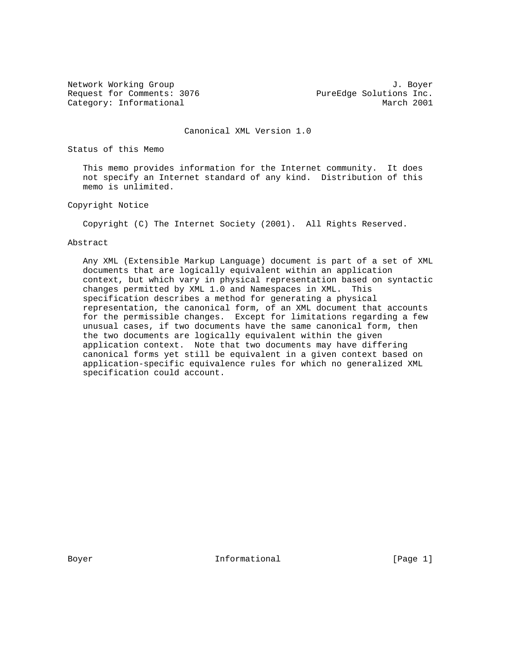Request for Comments: 3076 PureEdge Solutions Inc. Category: Informational and March 2001

Network Working Group 3. The Second Second Second Second Second Second Second Second Second Second Second Second Second Second Second Second Second Second Second Second Second Second Second Second Second Second Second Seco

Canonical XML Version 1.0

Status of this Memo

 This memo provides information for the Internet community. It does not specify an Internet standard of any kind. Distribution of this memo is unlimited.

Copyright Notice

Copyright (C) The Internet Society (2001). All Rights Reserved.

#### Abstract

 Any XML (Extensible Markup Language) document is part of a set of XML documents that are logically equivalent within an application context, but which vary in physical representation based on syntactic changes permitted by XML 1.0 and Namespaces in XML. This specification describes a method for generating a physical representation, the canonical form, of an XML document that accounts for the permissible changes. Except for limitations regarding a few unusual cases, if two documents have the same canonical form, then the two documents are logically equivalent within the given application context. Note that two documents may have differing canonical forms yet still be equivalent in a given context based on application-specific equivalence rules for which no generalized XML specification could account.

Boyer **Informational** Informational [Page 1]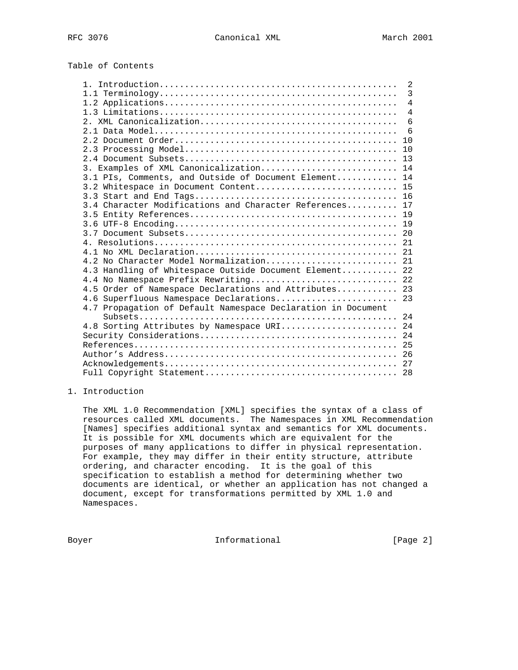Table of Contents

|                                                              | 2              |
|--------------------------------------------------------------|----------------|
|                                                              | 3              |
|                                                              | $\overline{4}$ |
|                                                              | $\overline{4}$ |
|                                                              | 6              |
|                                                              | 6              |
|                                                              | 10             |
|                                                              | 10             |
|                                                              |                |
| 3. Examples of XML Canonicalization 14                       |                |
| 3.1 PIs, Comments, and Outside of Document Element 14        |                |
| 3.2 Whitespace in Document Content 15                        |                |
|                                                              |                |
| 3.4 Character Modifications and Character References 17      |                |
|                                                              |                |
|                                                              |                |
|                                                              |                |
|                                                              |                |
|                                                              |                |
| 4.2 No Character Model Normalization 21                      |                |
| 4.3 Handling of Whitespace Outside Document Element 22       |                |
| 4.4 No Namespace Prefix Rewriting 22                         |                |
| 4.5 Order of Namespace Declarations and Attributes 23        |                |
| 4.6 Superfluous Namespace Declarations 23                    |                |
| 4.7 Propagation of Default Namespace Declaration in Document |                |
|                                                              |                |
| 4.8 Sorting Attributes by Namespace URI 24                   |                |
|                                                              |                |
|                                                              |                |
|                                                              |                |
|                                                              |                |
|                                                              |                |

## 1. Introduction

 The XML 1.0 Recommendation [XML] specifies the syntax of a class of resources called XML documents. The Namespaces in XML Recommendation [Names] specifies additional syntax and semantics for XML documents. It is possible for XML documents which are equivalent for the purposes of many applications to differ in physical representation. For example, they may differ in their entity structure, attribute ordering, and character encoding. It is the goal of this specification to establish a method for determining whether two documents are identical, or whether an application has not changed a document, except for transformations permitted by XML 1.0 and Namespaces.

Boyer **Informational Informational** [Page 2]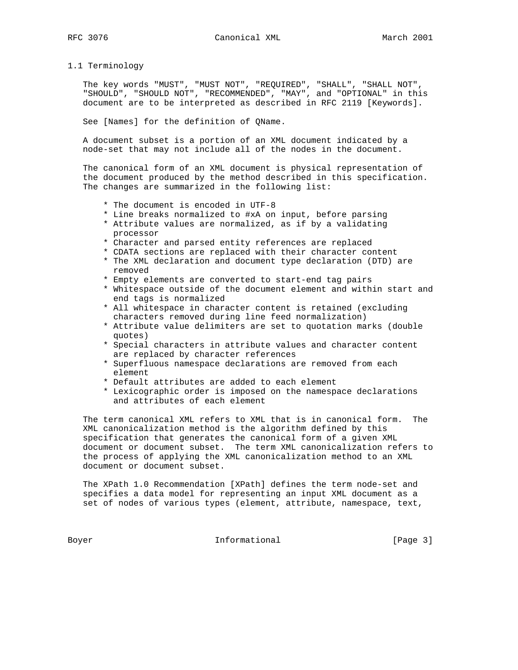## 1.1 Terminology

 The key words "MUST", "MUST NOT", "REQUIRED", "SHALL", "SHALL NOT", "SHOULD", "SHOULD NOT", "RECOMMENDED", "MAY", and "OPTIONAL" in this document are to be interpreted as described in RFC 2119 [Keywords].

See [Names] for the definition of QName.

 A document subset is a portion of an XML document indicated by a node-set that may not include all of the nodes in the document.

 The canonical form of an XML document is physical representation of the document produced by the method described in this specification. The changes are summarized in the following list:

- \* The document is encoded in UTF-8
- \* Line breaks normalized to #xA on input, before parsing
- \* Attribute values are normalized, as if by a validating processor
- \* Character and parsed entity references are replaced
- \* CDATA sections are replaced with their character content
- \* The XML declaration and document type declaration (DTD) are removed
- \* Empty elements are converted to start-end tag pairs
- \* Whitespace outside of the document element and within start and end tags is normalized
- \* All whitespace in character content is retained (excluding characters removed during line feed normalization)
- \* Attribute value delimiters are set to quotation marks (double quotes)
- \* Special characters in attribute values and character content are replaced by character references
- \* Superfluous namespace declarations are removed from each element
- \* Default attributes are added to each element
- \* Lexicographic order is imposed on the namespace declarations and attributes of each element

 The term canonical XML refers to XML that is in canonical form. The XML canonicalization method is the algorithm defined by this specification that generates the canonical form of a given XML document or document subset. The term XML canonicalization refers to the process of applying the XML canonicalization method to an XML document or document subset.

 The XPath 1.0 Recommendation [XPath] defines the term node-set and specifies a data model for representing an input XML document as a set of nodes of various types (element, attribute, namespace, text,

Boyer Informational [Page 3]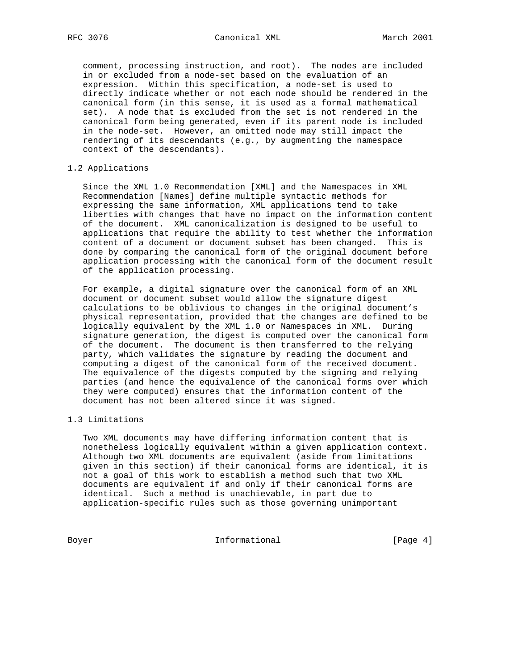comment, processing instruction, and root). The nodes are included in or excluded from a node-set based on the evaluation of an expression. Within this specification, a node-set is used to directly indicate whether or not each node should be rendered in the canonical form (in this sense, it is used as a formal mathematical set). A node that is excluded from the set is not rendered in the canonical form being generated, even if its parent node is included in the node-set. However, an omitted node may still impact the rendering of its descendants (e.g., by augmenting the namespace context of the descendants).

### 1.2 Applications

 Since the XML 1.0 Recommendation [XML] and the Namespaces in XML Recommendation [Names] define multiple syntactic methods for expressing the same information, XML applications tend to take liberties with changes that have no impact on the information content of the document. XML canonicalization is designed to be useful to applications that require the ability to test whether the information content of a document or document subset has been changed. This is done by comparing the canonical form of the original document before application processing with the canonical form of the document result of the application processing.

 For example, a digital signature over the canonical form of an XML document or document subset would allow the signature digest calculations to be oblivious to changes in the original document's physical representation, provided that the changes are defined to be logically equivalent by the XML 1.0 or Namespaces in XML. During signature generation, the digest is computed over the canonical form of the document. The document is then transferred to the relying party, which validates the signature by reading the document and computing a digest of the canonical form of the received document. The equivalence of the digests computed by the signing and relying parties (and hence the equivalence of the canonical forms over which they were computed) ensures that the information content of the document has not been altered since it was signed.

#### 1.3 Limitations

 Two XML documents may have differing information content that is nonetheless logically equivalent within a given application context. Although two XML documents are equivalent (aside from limitations given in this section) if their canonical forms are identical, it is not a goal of this work to establish a method such that two XML documents are equivalent if and only if their canonical forms are identical. Such a method is unachievable, in part due to application-specific rules such as those governing unimportant

Boyer Informational [Page 4]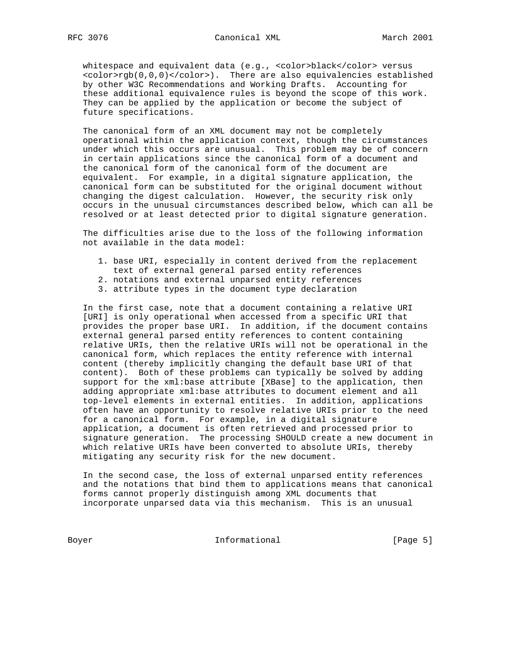whitespace and equivalent data (e.g., <color>black</color> versus <color>rgb(0,0,0)</color>). There are also equivalencies established by other W3C Recommendations and Working Drafts. Accounting for these additional equivalence rules is beyond the scope of this work. They can be applied by the application or become the subject of future specifications.

 The canonical form of an XML document may not be completely operational within the application context, though the circumstances under which this occurs are unusual. This problem may be of concern in certain applications since the canonical form of a document and the canonical form of the canonical form of the document are equivalent. For example, in a digital signature application, the canonical form can be substituted for the original document without changing the digest calculation. However, the security risk only occurs in the unusual circumstances described below, which can all be resolved or at least detected prior to digital signature generation.

 The difficulties arise due to the loss of the following information not available in the data model:

- 1. base URI, especially in content derived from the replacement
- text of external general parsed entity references
- 2. notations and external unparsed entity references
- 3. attribute types in the document type declaration

 In the first case, note that a document containing a relative URI [URI] is only operational when accessed from a specific URI that provides the proper base URI. In addition, if the document contains external general parsed entity references to content containing relative URIs, then the relative URIs will not be operational in the canonical form, which replaces the entity reference with internal content (thereby implicitly changing the default base URI of that content). Both of these problems can typically be solved by adding support for the xml:base attribute [XBase] to the application, then adding appropriate xml:base attributes to document element and all top-level elements in external entities. In addition, applications often have an opportunity to resolve relative URIs prior to the need for a canonical form. For example, in a digital signature application, a document is often retrieved and processed prior to signature generation. The processing SHOULD create a new document in which relative URIs have been converted to absolute URIs, thereby mitigating any security risk for the new document.

 In the second case, the loss of external unparsed entity references and the notations that bind them to applications means that canonical forms cannot properly distinguish among XML documents that incorporate unparsed data via this mechanism. This is an unusual

Boyer **Informational Informational** [Page 5]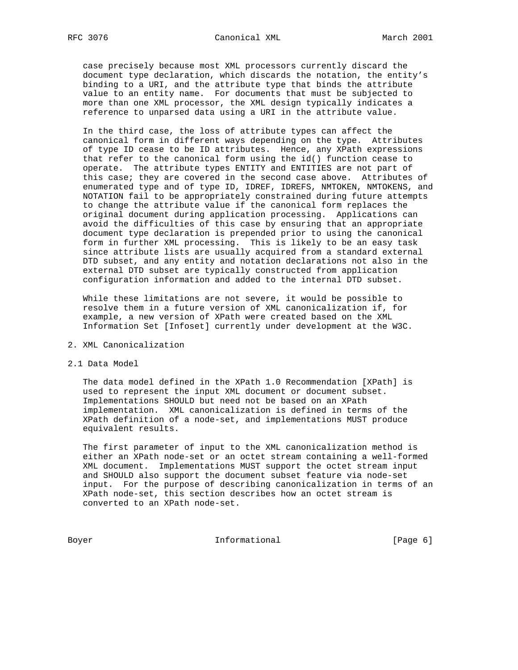case precisely because most XML processors currently discard the document type declaration, which discards the notation, the entity's binding to a URI, and the attribute type that binds the attribute value to an entity name. For documents that must be subjected to more than one XML processor, the XML design typically indicates a reference to unparsed data using a URI in the attribute value.

 In the third case, the loss of attribute types can affect the canonical form in different ways depending on the type. Attributes of type ID cease to be ID attributes. Hence, any XPath expressions that refer to the canonical form using the id() function cease to operate. The attribute types ENTITY and ENTITIES are not part of this case; they are covered in the second case above. Attributes of enumerated type and of type ID, IDREF, IDREFS, NMTOKEN, NMTOKENS, and NOTATION fail to be appropriately constrained during future attempts to change the attribute value if the canonical form replaces the original document during application processing. Applications can avoid the difficulties of this case by ensuring that an appropriate document type declaration is prepended prior to using the canonical form in further XML processing. This is likely to be an easy task since attribute lists are usually acquired from a standard external DTD subset, and any entity and notation declarations not also in the external DTD subset are typically constructed from application configuration information and added to the internal DTD subset.

 While these limitations are not severe, it would be possible to resolve them in a future version of XML canonicalization if, for example, a new version of XPath were created based on the XML Information Set [Infoset] currently under development at the W3C.

- 2. XML Canonicalization
- 2.1 Data Model

 The data model defined in the XPath 1.0 Recommendation [XPath] is used to represent the input XML document or document subset. Implementations SHOULD but need not be based on an XPath implementation. XML canonicalization is defined in terms of the XPath definition of a node-set, and implementations MUST produce equivalent results.

 The first parameter of input to the XML canonicalization method is either an XPath node-set or an octet stream containing a well-formed XML document. Implementations MUST support the octet stream input and SHOULD also support the document subset feature via node-set input. For the purpose of describing canonicalization in terms of an XPath node-set, this section describes how an octet stream is converted to an XPath node-set.

Boyer **Informational Informational** [Page 6]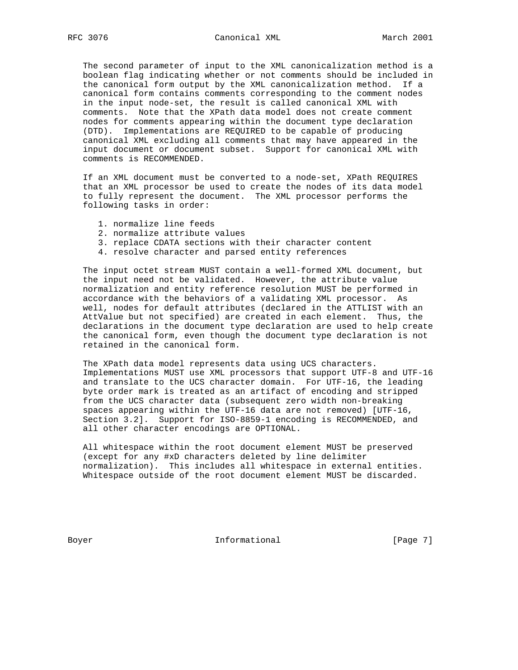The second parameter of input to the XML canonicalization method is a boolean flag indicating whether or not comments should be included in the canonical form output by the XML canonicalization method. If a canonical form contains comments corresponding to the comment nodes in the input node-set, the result is called canonical XML with comments. Note that the XPath data model does not create comment nodes for comments appearing within the document type declaration (DTD). Implementations are REQUIRED to be capable of producing canonical XML excluding all comments that may have appeared in the input document or document subset. Support for canonical XML with comments is RECOMMENDED.

 If an XML document must be converted to a node-set, XPath REQUIRES that an XML processor be used to create the nodes of its data model to fully represent the document. The XML processor performs the following tasks in order:

- 1. normalize line feeds
- 2. normalize attribute values
- 3. replace CDATA sections with their character content
- 4. resolve character and parsed entity references

 The input octet stream MUST contain a well-formed XML document, but the input need not be validated. However, the attribute value normalization and entity reference resolution MUST be performed in accordance with the behaviors of a validating XML processor. As well, nodes for default attributes (declared in the ATTLIST with an AttValue but not specified) are created in each element. Thus, the declarations in the document type declaration are used to help create the canonical form, even though the document type declaration is not retained in the canonical form.

 The XPath data model represents data using UCS characters. Implementations MUST use XML processors that support UTF-8 and UTF-16 and translate to the UCS character domain. For UTF-16, the leading byte order mark is treated as an artifact of encoding and stripped from the UCS character data (subsequent zero width non-breaking spaces appearing within the UTF-16 data are not removed) [UTF-16, Section 3.2]. Support for ISO-8859-1 encoding is RECOMMENDED, and all other character encodings are OPTIONAL.

 All whitespace within the root document element MUST be preserved (except for any #xD characters deleted by line delimiter normalization). This includes all whitespace in external entities. Whitespace outside of the root document element MUST be discarded.

Boyer **Informational Informational** [Page 7]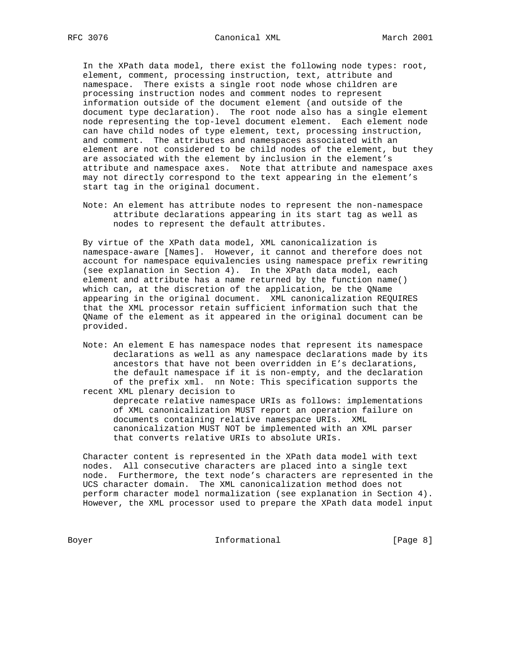In the XPath data model, there exist the following node types: root, element, comment, processing instruction, text, attribute and namespace. There exists a single root node whose children are processing instruction nodes and comment nodes to represent information outside of the document element (and outside of the document type declaration). The root node also has a single element node representing the top-level document element. Each element node can have child nodes of type element, text, processing instruction, and comment. The attributes and namespaces associated with an element are not considered to be child nodes of the element, but they are associated with the element by inclusion in the element's attribute and namespace axes. Note that attribute and namespace axes may not directly correspond to the text appearing in the element's start tag in the original document.

 Note: An element has attribute nodes to represent the non-namespace attribute declarations appearing in its start tag as well as nodes to represent the default attributes.

 By virtue of the XPath data model, XML canonicalization is namespace-aware [Names]. However, it cannot and therefore does not account for namespace equivalencies using namespace prefix rewriting (see explanation in Section 4). In the XPath data model, each element and attribute has a name returned by the function name() which can, at the discretion of the application, be the QName appearing in the original document. XML canonicalization REQUIRES that the XML processor retain sufficient information such that the QName of the element as it appeared in the original document can be provided.

 Note: An element E has namespace nodes that represent its namespace declarations as well as any namespace declarations made by its ancestors that have not been overridden in E's declarations, the default namespace if it is non-empty, and the declaration of the prefix xml. nn Note: This specification supports the recent XML plenary decision to

 deprecate relative namespace URIs as follows: implementations of XML canonicalization MUST report an operation failure on documents containing relative namespace URIs. XML canonicalization MUST NOT be implemented with an XML parser that converts relative URIs to absolute URIs.

 Character content is represented in the XPath data model with text nodes. All consecutive characters are placed into a single text node. Furthermore, the text node's characters are represented in the UCS character domain. The XML canonicalization method does not perform character model normalization (see explanation in Section 4). However, the XML processor used to prepare the XPath data model input

Boyer Informational [Page 8]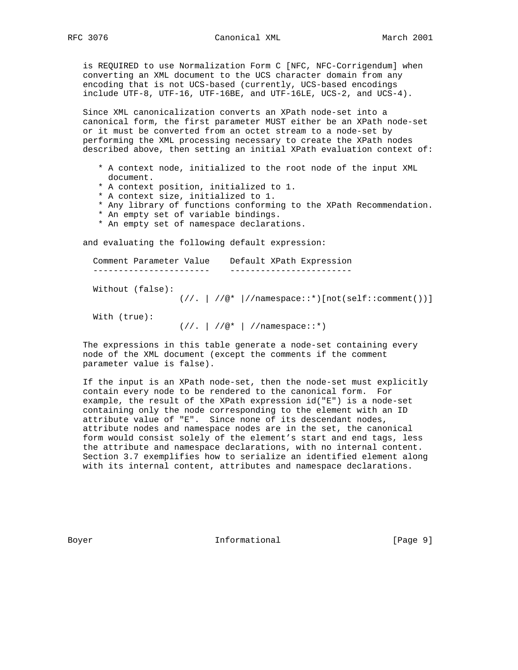is REQUIRED to use Normalization Form C [NFC, NFC-Corrigendum] when converting an XML document to the UCS character domain from any encoding that is not UCS-based (currently, UCS-based encodings include UTF-8, UTF-16, UTF-16BE, and UTF-16LE, UCS-2, and UCS-4).

 Since XML canonicalization converts an XPath node-set into a canonical form, the first parameter MUST either be an XPath node-set or it must be converted from an octet stream to a node-set by performing the XML processing necessary to create the XPath nodes described above, then setting an initial XPath evaluation context of:

- \* A context node, initialized to the root node of the input XML document.
- \* A context position, initialized to 1.
- \* A context size, initialized to 1.
- \* Any library of functions conforming to the XPath Recommendation.
- \* An empty set of variable bindings.
- \* An empty set of namespace declarations.

and evaluating the following default expression:

 Comment Parameter Value Default XPath Expression ----------------------- ------------------------

Without (false):

 $\left(\frac{1}{\cdot}, \frac{1}{\cdot}, \frac{1}{\cdot}\right)$  //namespace::\*)[not(self::comment())]

With (true):

 $(///. | //@* | //namespace::*)$ 

 The expressions in this table generate a node-set containing every node of the XML document (except the comments if the comment parameter value is false).

 If the input is an XPath node-set, then the node-set must explicitly contain every node to be rendered to the canonical form. For example, the result of the XPath expression id("E") is a node-set containing only the node corresponding to the element with an ID attribute value of "E". Since none of its descendant nodes, attribute nodes and namespace nodes are in the set, the canonical form would consist solely of the element's start and end tags, less the attribute and namespace declarations, with no internal content. Section 3.7 exemplifies how to serialize an identified element along with its internal content, attributes and namespace declarations.

Boyer **Informational Informational** [Page 9]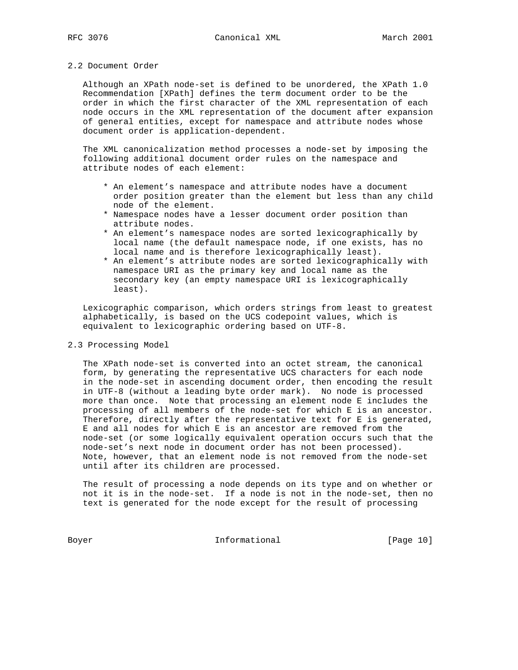#### 2.2 Document Order

 Although an XPath node-set is defined to be unordered, the XPath 1.0 Recommendation [XPath] defines the term document order to be the order in which the first character of the XML representation of each node occurs in the XML representation of the document after expansion of general entities, except for namespace and attribute nodes whose document order is application-dependent.

 The XML canonicalization method processes a node-set by imposing the following additional document order rules on the namespace and attribute nodes of each element:

- \* An element's namespace and attribute nodes have a document order position greater than the element but less than any child node of the element.
- \* Namespace nodes have a lesser document order position than attribute nodes.
- \* An element's namespace nodes are sorted lexicographically by local name (the default namespace node, if one exists, has no local name and is therefore lexicographically least).
- \* An element's attribute nodes are sorted lexicographically with namespace URI as the primary key and local name as the secondary key (an empty namespace URI is lexicographically least).

 Lexicographic comparison, which orders strings from least to greatest alphabetically, is based on the UCS codepoint values, which is equivalent to lexicographic ordering based on UTF-8.

#### 2.3 Processing Model

 The XPath node-set is converted into an octet stream, the canonical form, by generating the representative UCS characters for each node in the node-set in ascending document order, then encoding the result in UTF-8 (without a leading byte order mark). No node is processed more than once. Note that processing an element node E includes the processing of all members of the node-set for which E is an ancestor. Therefore, directly after the representative text for E is generated, E and all nodes for which E is an ancestor are removed from the node-set (or some logically equivalent operation occurs such that the node-set's next node in document order has not been processed). Note, however, that an element node is not removed from the node-set until after its children are processed.

 The result of processing a node depends on its type and on whether or not it is in the node-set. If a node is not in the node-set, then no text is generated for the node except for the result of processing

Boyer 10 Informational [Page 10]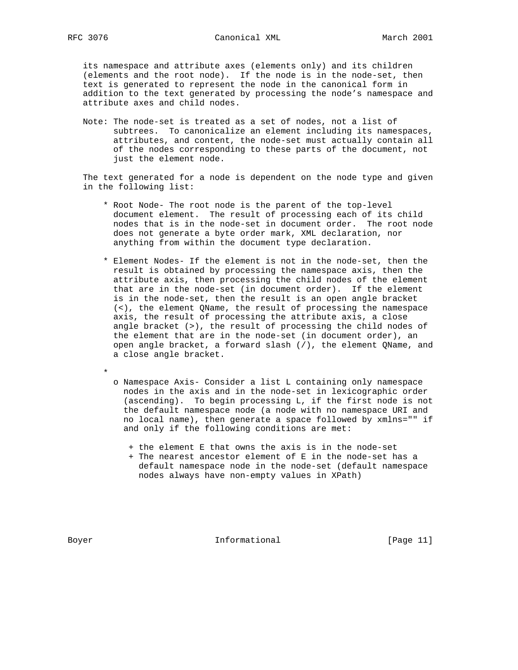its namespace and attribute axes (elements only) and its children (elements and the root node). If the node is in the node-set, then text is generated to represent the node in the canonical form in addition to the text generated by processing the node's namespace and attribute axes and child nodes.

 Note: The node-set is treated as a set of nodes, not a list of subtrees. To canonicalize an element including its namespaces, attributes, and content, the node-set must actually contain all of the nodes corresponding to these parts of the document, not just the element node.

 The text generated for a node is dependent on the node type and given in the following list:

- \* Root Node- The root node is the parent of the top-level document element. The result of processing each of its child nodes that is in the node-set in document order. The root node does not generate a byte order mark, XML declaration, nor anything from within the document type declaration.
- \* Element Nodes- If the element is not in the node-set, then the result is obtained by processing the namespace axis, then the attribute axis, then processing the child nodes of the element that are in the node-set (in document order). If the element is in the node-set, then the result is an open angle bracket (<), the element QName, the result of processing the namespace axis, the result of processing the attribute axis, a close angle bracket (>), the result of processing the child nodes of the element that are in the node-set (in document order), an open angle bracket, a forward slash (/), the element QName, and a close angle bracket.
	- o Namespace Axis- Consider a list L containing only namespace nodes in the axis and in the node-set in lexicographic order (ascending). To begin processing L, if the first node is not the default namespace node (a node with no namespace URI and no local name), then generate a space followed by xmlns="" if and only if the following conditions are met:
		- + the element E that owns the axis is in the node-set
		- + The nearest ancestor element of E in the node-set has a default namespace node in the node-set (default namespace nodes always have non-empty values in XPath)

\*

Boyer **Informational** [Page 11]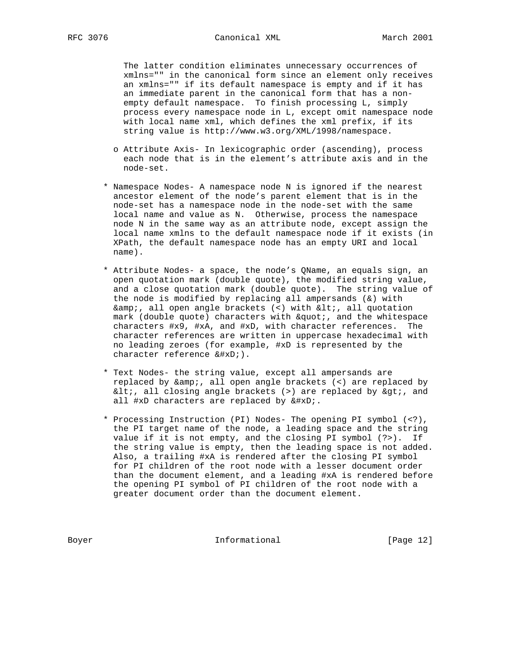The latter condition eliminates unnecessary occurrences of xmlns="" in the canonical form since an element only receives an xmlns="" if its default namespace is empty and if it has an immediate parent in the canonical form that has a non empty default namespace. To finish processing L, simply process every namespace node in L, except omit namespace node with local name xml, which defines the xml prefix, if its string value is http://www.w3.org/XML/1998/namespace.

- o Attribute Axis- In lexicographic order (ascending), process each node that is in the element's attribute axis and in the node-set.
- \* Namespace Nodes- A namespace node N is ignored if the nearest ancestor element of the node's parent element that is in the node-set has a namespace node in the node-set with the same local name and value as N. Otherwise, process the namespace node N in the same way as an attribute node, except assign the local name xmlns to the default namespace node if it exists (in XPath, the default namespace node has an empty URI and local name).
- \* Attribute Nodes- a space, the node's QName, an equals sign, an open quotation mark (double quote), the modified string value, and a close quotation mark (double quote). The string value of the node is modified by replacing all ampersands  $(\&)$  with  $\& i$ , all open angle brackets (<) with  $\< i$ , all quotation mark (double quote) characters with  $\&$ quot;, and the whitespace characters #x9, #xA, and #xD, with character references. The character references are written in uppercase hexadecimal with no leading zeroes (for example, #xD is represented by the character reference 
).
- \* Text Nodes- the string value, except all ampersands are replaced by &, all open angle brackets (<) are replaced by  $<1$ , all closing angle brackets (>) are replaced by  $>0$ , and all #xD characters are replaced by 
.
- \* Processing Instruction (PI) Nodes- The opening PI symbol (<?), the PI target name of the node, a leading space and the string value if it is not empty, and the closing PI symbol (?>). If the string value is empty, then the leading space is not added. Also, a trailing #xA is rendered after the closing PI symbol for PI children of the root node with a lesser document order than the document element, and a leading #xA is rendered before the opening PI symbol of PI children of the root node with a greater document order than the document element.

Boyer Informational [Page 12]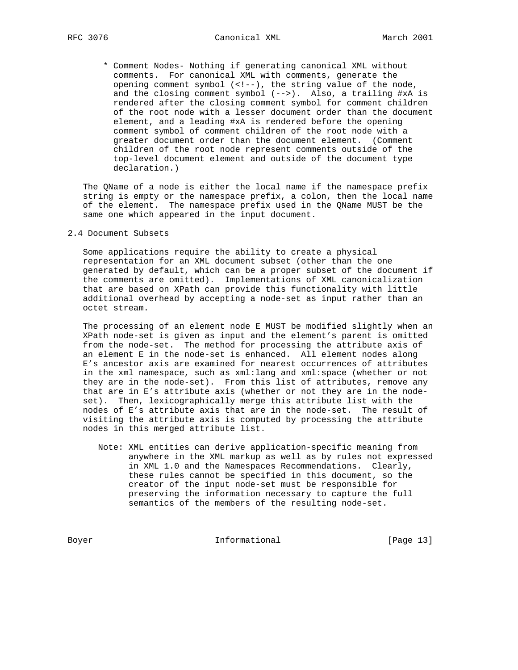\* Comment Nodes- Nothing if generating canonical XML without comments. For canonical XML with comments, generate the opening comment symbol (<!--), the string value of the node, and the closing comment symbol (-->). Also, a trailing #xA is rendered after the closing comment symbol for comment children of the root node with a lesser document order than the document element, and a leading #xA is rendered before the opening comment symbol of comment children of the root node with a greater document order than the document element. (Comment children of the root node represent comments outside of the top-level document element and outside of the document type declaration.)

 The QName of a node is either the local name if the namespace prefix string is empty or the namespace prefix, a colon, then the local name of the element. The namespace prefix used in the QName MUST be the same one which appeared in the input document.

2.4 Document Subsets

 Some applications require the ability to create a physical representation for an XML document subset (other than the one generated by default, which can be a proper subset of the document if the comments are omitted). Implementations of XML canonicalization that are based on XPath can provide this functionality with little additional overhead by accepting a node-set as input rather than an octet stream.

 The processing of an element node E MUST be modified slightly when an XPath node-set is given as input and the element's parent is omitted from the node-set. The method for processing the attribute axis of an element E in the node-set is enhanced. All element nodes along E's ancestor axis are examined for nearest occurrences of attributes in the xml namespace, such as xml:lang and xml:space (whether or not they are in the node-set). From this list of attributes, remove any that are in E's attribute axis (whether or not they are in the node set). Then, lexicographically merge this attribute list with the nodes of E's attribute axis that are in the node-set. The result of visiting the attribute axis is computed by processing the attribute nodes in this merged attribute list.

 Note: XML entities can derive application-specific meaning from anywhere in the XML markup as well as by rules not expressed in XML 1.0 and the Namespaces Recommendations. Clearly, these rules cannot be specified in this document, so the creator of the input node-set must be responsible for preserving the information necessary to capture the full semantics of the members of the resulting node-set.

Boyer 13]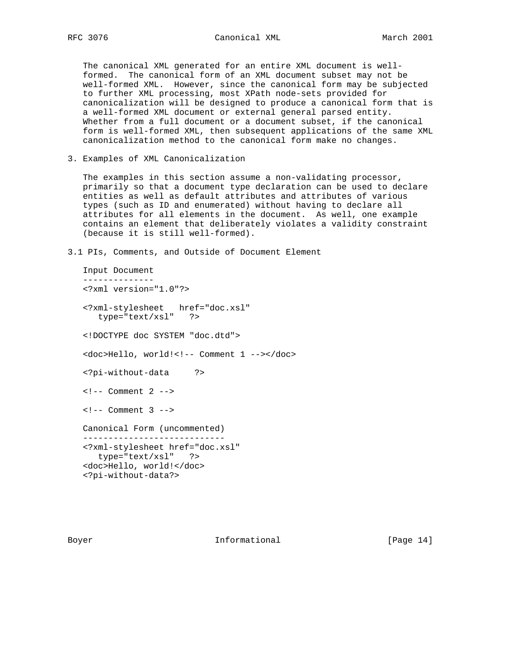The canonical XML generated for an entire XML document is well formed. The canonical form of an XML document subset may not be well-formed XML. However, since the canonical form may be subjected to further XML processing, most XPath node-sets provided for canonicalization will be designed to produce a canonical form that is a well-formed XML document or external general parsed entity. Whether from a full document or a document subset, if the canonical form is well-formed XML, then subsequent applications of the same XML canonicalization method to the canonical form make no changes.

3. Examples of XML Canonicalization

 The examples in this section assume a non-validating processor, primarily so that a document type declaration can be used to declare entities as well as default attributes and attributes of various types (such as ID and enumerated) without having to declare all attributes for all elements in the document. As well, one example contains an element that deliberately violates a validity constraint (because it is still well-formed).

3.1 PIs, Comments, and Outside of Document Element

 Input Document -------------- <?xml version="1.0"?> <?xml-stylesheet href="doc.xsl" type="text/xsl" ?> <!DOCTYPE doc SYSTEM "doc.dtd"> <doc>Hello, world!<!-- Comment 1 --></doc> <?pi-without-data ?>  $\leftarrow$   $\leftarrow$  Comment 2  $\leftarrow$  $\leftarrow$  :-- Comment 3 --> Canonical Form (uncommented) ---------------------------- <?xml-stylesheet href="doc.xsl" type="text/xsl" ?> <doc>Hello, world!</doc> <?pi-without-data?>

Boyer **Informational** [Page 14]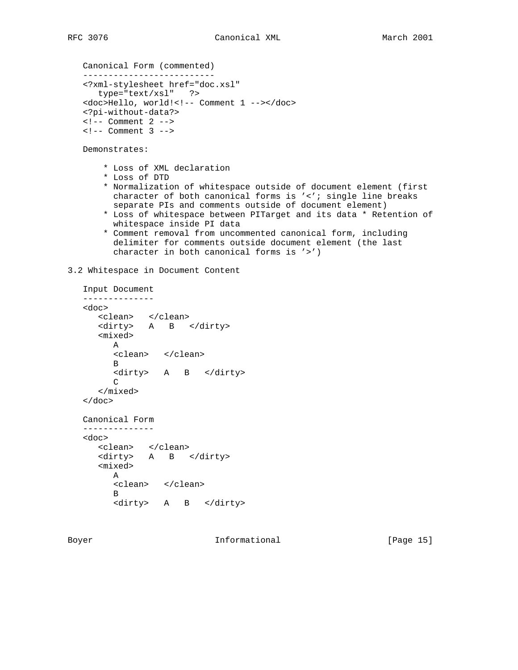```
 Canonical Form (commented)
 --------------------------
 <?xml-stylesheet href="doc.xsl"
    type="text/xsl" ?>
 <doc>Hello, world!<!-- Comment 1 --></doc>
 <?pi-without-data?>
 <!-- Comment 2 -->
\leftarrow ! -- Comment 3 -->
```
Demonstrates:

- \* Loss of XML declaration
- \* Loss of DTD
- \* Normalization of whitespace outside of document element (first character of both canonical forms is '<'; single line breaks separate PIs and comments outside of document element)
- \* Loss of whitespace between PITarget and its data \* Retention of whitespace inside PI data
- \* Comment removal from uncommented canonical form, including delimiter for comments outside document element (the last character in both canonical forms is '>')

3.2 Whitespace in Document Content

```
 Input Document
   --------------
   <doc>
 <clean> </clean>
 <dirty> A B </dirty>
      <mixed>
         A
         <clean> </clean>
        <sub>B</sub>
         <dirty> A B </dirty>
        \mathsf{C} </mixed>
   </doc>
   Canonical Form
   --------------
   <doc>
      <clean> </clean>
      <dirty> A B </dirty>
      <mixed>
         A
         <clean> </clean>
         B
         <dirty> A B </dirty>
```
Boyer **Informational** [Page 15]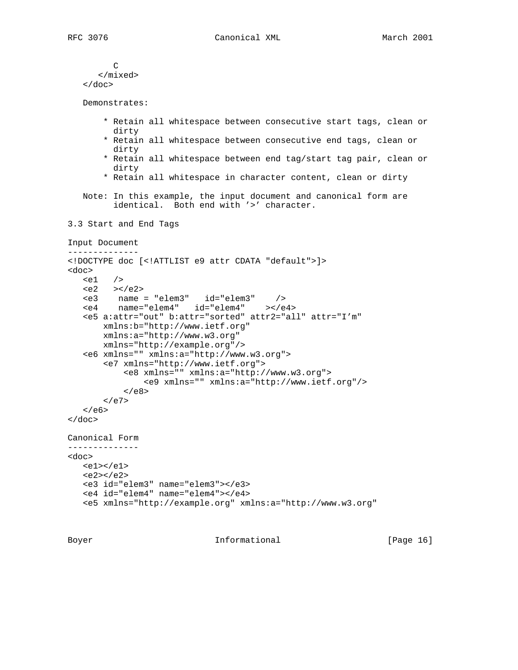```
 C
       </mixed>
    </doc>
    Demonstrates:
        * Retain all whitespace between consecutive start tags, clean or
         dirty
        * Retain all whitespace between consecutive end tags, clean or
         dirty
        * Retain all whitespace between end tag/start tag pair, clean or
          dirty
        * Retain all whitespace in character content, clean or dirty
    Note: In this example, the input document and canonical form are
          identical. Both end with '>' character.
3.3 Start and End Tags
Input Document
--------------
<!DOCTYPE doc [<!ATTLIST e9 attr CDATA "default">]>
<doc>
   \leqe1 />
   \langle e2 \rangle > < \angle e2 <e3 name = "elem3" id="elem3" />
 <e4 name="elem4" id="elem4" ></e4>
    <e5 a:attr="out" b:attr="sorted" attr2="all" attr="I'm"
        xmlns:b="http://www.ietf.org"
        xmlns:a="http://www.w3.org"
       xmlns="http://example.org"/>
    <e6 xmlns="" xmlns:a="http://www.w3.org">
        <e7 xmlns="http://www.ietf.org">
            <e8 xmlns="" xmlns:a="http://www.w3.org">
                <e9 xmlns="" xmlns:a="http://www.ietf.org"/>
           \langlee8>
       \langlee7>
   \langlee6>
</doc>
Canonical Form
--------------
<doc>
   <e1></e1>
   <e2></e2> <e3 id="elem3" name="elem3"></e3>
    <e4 id="elem4" name="elem4"></e4>
    <e5 xmlns="http://example.org" xmlns:a="http://www.w3.org"
```
Boyer **Informational** [Page 16]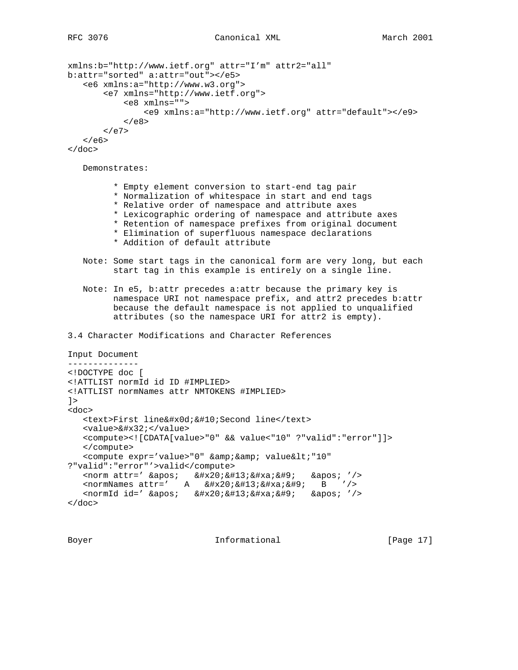```
xmlns:b="http://www.ietf.org" attr="I'm" attr2="all"
b:attr="sorted" a:attr="out"></e5>
    <e6 xmlns:a="http://www.w3.org">
        <e7 xmlns="http://www.ietf.org">
            <e8 xmlns="">
                <e9 xmlns:a="http://www.ietf.org" attr="default"></e9>
           </e8</e7\langle/e6>
</doc>
    Demonstrates:
          * Empty element conversion to start-end tag pair
          * Normalization of whitespace in start and end tags
          * Relative order of namespace and attribute axes
          * Lexicographic ordering of namespace and attribute axes
          * Retention of namespace prefixes from original document
          * Elimination of superfluous namespace declarations
          * Addition of default attribute
    Note: Some start tags in the canonical form are very long, but each
          start tag in this example is entirely on a single line.
    Note: In e5, b:attr precedes a:attr because the primary key is
          namespace URI not namespace prefix, and attr2 precedes b:attr
          because the default namespace is not applied to unqualified
          attributes (so the namespace URI for attr2 is empty).
3.4 Character Modifications and Character References
Input Document
--------------
<!DOCTYPE doc [
<!ATTLIST normId id ID #IMPLIED>
<!ATTLIST normNames attr NMTOKENS #IMPLIED>
]<doc>
   <text>First line&#x0d; &#10; Second line</text>
   <value>&#x32;</value>
    <compute><![CDATA[value>"0" && value<"10" ?"valid":"error"]]>
    </compute>
   <compute expr='value>"0" &amp; &amp; value&lt; "10"
?"valid":"error"'>valid</compute>
   \epsilon <norm attr=' \&apos; \&#x20; \&#13; \&#xa; \&#9; \&apos; '/>
   \epsilon <normNames attr=' A \&#x20; \&#13; \&#xa; \&#9; B '/>
    <normId id=' &apos; &#x20;&#13;&#xa;&#9; &apos; '/>
</doc>
```
Boyer **Informational Informational** [Page 17]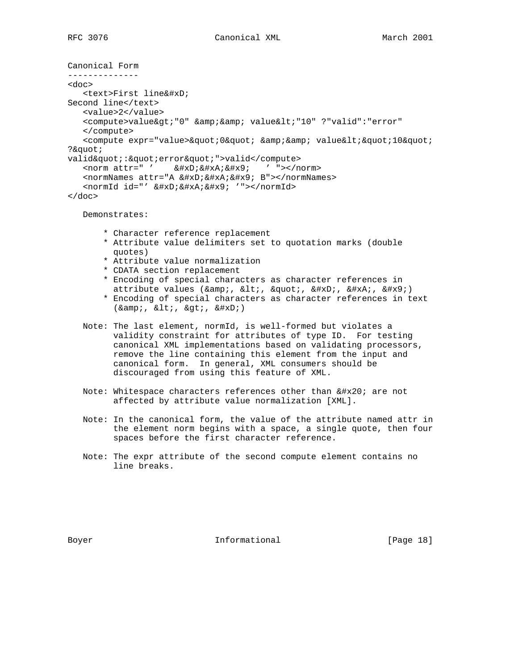```
Canonical Form
--------------
<doc>
    <text>First line&#xD;
Second line</text>
    <value>2</value>
   <compute>value&gt;"0" &amp; &amp; value&lt;"10" ?"valid":"error"
    </compute>
   <compute expr="value>&quot;0&quot; &amp;&amp; value&lt;&quot;10&quot;
?"
valid":"error"">valid</compute>
   <norm attr=" ' &#xD; &#xA; &#x9; ' "></norm>
   <normNames attr="A &#xD; &#xA; &#x9; B"></normNames>
   <normId id="' &#xD; &#xA; &#x9; '"></normId>
</doc>
   Demonstrates:
        * Character reference replacement
        * Attribute value delimiters set to quotation marks (double
         quotes)
        * Attribute value normalization
        * CDATA section replacement
        * Encoding of special characters as character references in
        attribute values (\&i, \&lt;, \", \
, \
, \	)
        * Encoding of special characters as character references in text
         (\& i, \& 1t; \& 1t; \& g; t; \& #xD; ) Note: The last element, normId, is well-formed but violates a
          validity constraint for attributes of type ID. For testing
          canonical XML implementations based on validating processors,
          remove the line containing this element from the input and
          canonical form. In general, XML consumers should be
          discouraged from using this feature of XML.
```
- Note: Whitespace characters references other than  $\ i$  are not affected by attribute value normalization [XML].
- Note: In the canonical form, the value of the attribute named attr in the element norm begins with a space, a single quote, then four spaces before the first character reference.
- Note: The expr attribute of the second compute element contains no line breaks.

Boyer **Informational** [Page 18]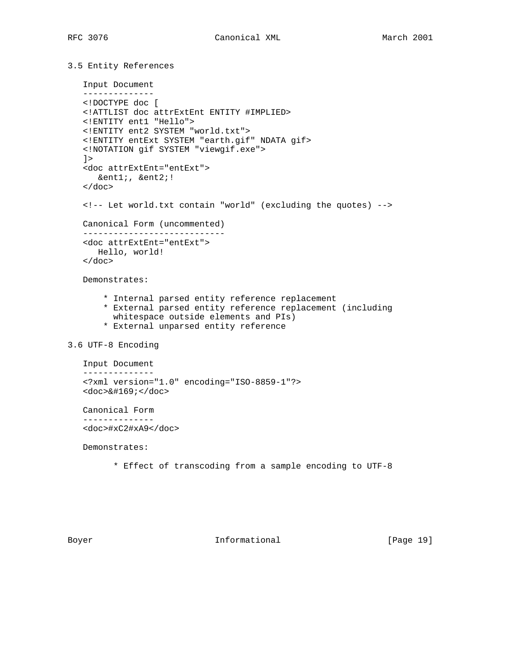```
3.5 Entity References
```

```
 Input Document
    --------------
    <!DOCTYPE doc [
    <!ATTLIST doc attrExtEnt ENTITY #IMPLIED>
    <!ENTITY ent1 "Hello">
    <!ENTITY ent2 SYSTEM "world.txt">
    <!ENTITY entExt SYSTEM "earth.gif" NDATA gif>
    <!NOTATION gif SYSTEM "viewgif.exe">
   ] <doc attrExtEnt="entExt">
      &ent1;, &ent2;!
    </doc>
    <!-- Let world.txt contain "world" (excluding the quotes) -->
   Canonical Form (uncommented)
    ----------------------------
    <doc attrExtEnt="entExt">
      Hello, world!
   \langle doc>
   Demonstrates:
        * Internal parsed entity reference replacement
        * External parsed entity reference replacement (including
          whitespace outside elements and PIs)
        * External unparsed entity reference
3.6 UTF-8 Encoding
    Input Document
    --------------
    <?xml version="1.0" encoding="ISO-8859-1"?>
   <doc>©</doc>
   Canonical Form
    --------------
    <doc>#xC2#xA9</doc>
   Demonstrates:
          * Effect of transcoding from a sample encoding to UTF-8
```
Boyer **Informational** [Page 19]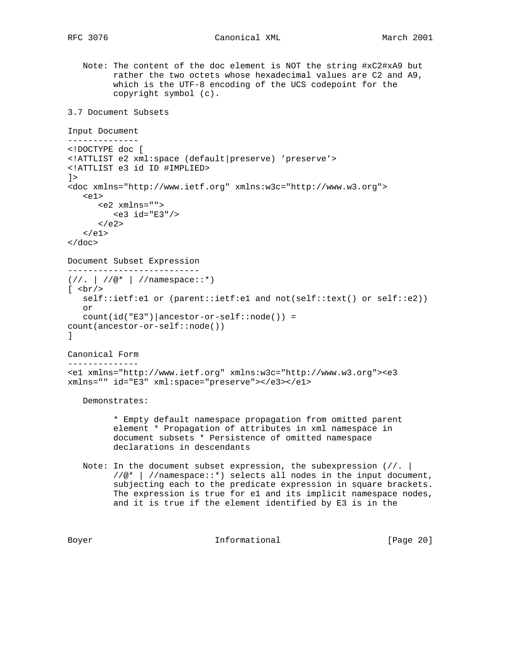Note: The content of the doc element is NOT the string #xC2#xA9 but rather the two octets whose hexadecimal values are C2 and A9, which is the UTF-8 encoding of the UCS codepoint for the copyright symbol (c). 3.7 Document Subsets Input Document -------------- <!DOCTYPE doc [ <!ATTLIST e2 xml:space (default|preserve) 'preserve'> <!ATTLIST e3 id ID #IMPLIED> ]> <doc xmlns="http://www.ietf.org" xmlns:w3c="http://www.w3.org">  $$  <e2 xmlns=""> <e3 id="E3"/>  $\langle$ /e2>  $\langle$ e1> </doc> Document Subset Expression --------------------------  $\frac{1}{2}$  // $\frac{1}{2}$  // $\frac{1}{2}$  //namespace::\*)  $[$  <br/> <br/> <br/> <br/> <br/> <br/> <br/> <br/> <br/> <br/> <br/> <br/> <br/> <br/> <br/> <br/> <br/> <br/> <br/> <br/> <br/> <br/> <br/> <br/> <br/> <br/> <br/> <br/> <br/> <br/> <br/> <br/> <br/> <br/> <br/> <br/> < self::ietf:e1 or (parent::ietf:e1 and not(self::text() or self::e2)) or  $count(id("E3")|ancestor-or-self::node()$  = count(ancestor-or-self::node()) ] Canonical Form -------------- <e1 xmlns="http://www.ietf.org" xmlns:w3c="http://www.w3.org"><e3 xmlns="" id="E3" xml:space="preserve"></e3></e1> Demonstrates: \* Empty default namespace propagation from omitted parent element \* Propagation of attributes in xml namespace in document subsets \* Persistence of omitted namespace declarations in descendants Note: In the document subset expression, the subexpression  $\left(\frac{1}{1} - \frac{1}{1} \right)$  //@\* | //namespace::\*) selects all nodes in the input document, subjecting each to the predicate expression in square brackets. The expression is true for e1 and its implicit namespace nodes, and it is true if the element identified by E3 is in the

Boyer **Informational** [Page 20]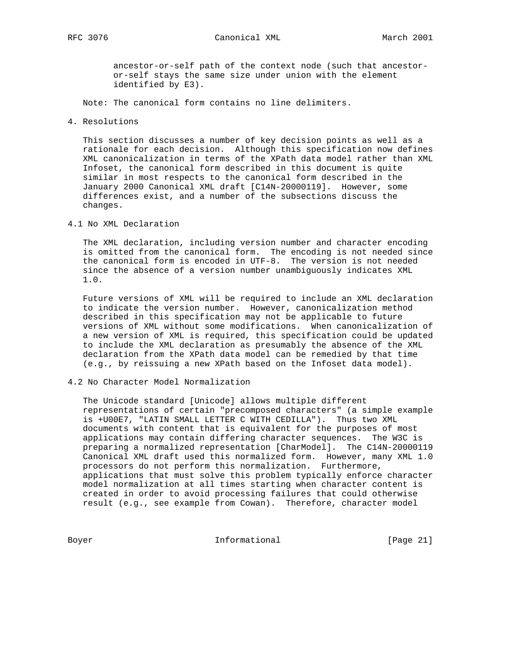ancestor-or-self path of the context node (such that ancestor or-self stays the same size under union with the element identified by E3).

Note: The canonical form contains no line delimiters.

4. Resolutions

 This section discusses a number of key decision points as well as a rationale for each decision. Although this specification now defines XML canonicalization in terms of the XPath data model rather than XML Infoset, the canonical form described in this document is quite similar in most respects to the canonical form described in the January 2000 Canonical XML draft [C14N-20000119]. However, some differences exist, and a number of the subsections discuss the changes.

4.1 No XML Declaration

 The XML declaration, including version number and character encoding is omitted from the canonical form. The encoding is not needed since the canonical form is encoded in UTF-8. The version is not needed since the absence of a version number unambiguously indicates XML 1.0.

 Future versions of XML will be required to include an XML declaration to indicate the version number. However, canonicalization method described in this specification may not be applicable to future versions of XML without some modifications. When canonicalization of a new version of XML is required, this specification could be updated to include the XML declaration as presumably the absence of the XML declaration from the XPath data model can be remedied by that time (e.g., by reissuing a new XPath based on the Infoset data model).

4.2 No Character Model Normalization

 The Unicode standard [Unicode] allows multiple different representations of certain "precomposed characters" (a simple example is +U00E7, "LATIN SMALL LETTER C WITH CEDILLA"). Thus two XML documents with content that is equivalent for the purposes of most applications may contain differing character sequences. The W3C is preparing a normalized representation [CharModel]. The C14N-20000119 Canonical XML draft used this normalized form. However, many XML 1.0 processors do not perform this normalization. Furthermore, applications that must solve this problem typically enforce character model normalization at all times starting when character content is created in order to avoid processing failures that could otherwise result (e.g., see example from Cowan). Therefore, character model

Boyer Informational [Page 21]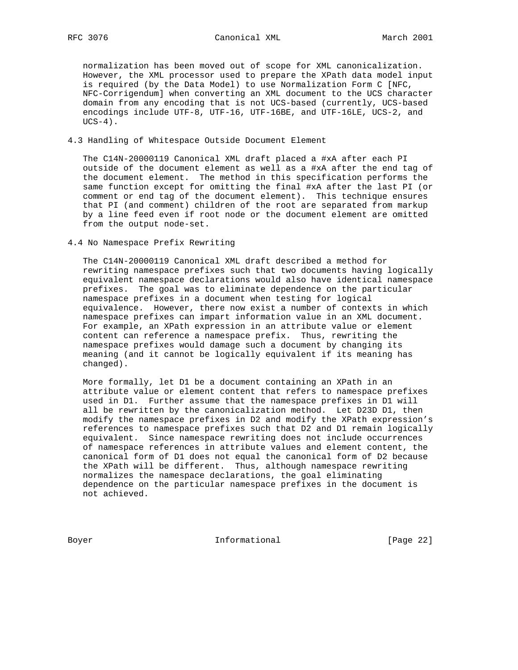normalization has been moved out of scope for XML canonicalization. However, the XML processor used to prepare the XPath data model input is required (by the Data Model) to use Normalization Form C [NFC, NFC-Corrigendum] when converting an XML document to the UCS character domain from any encoding that is not UCS-based (currently, UCS-based encodings include UTF-8, UTF-16, UTF-16BE, and UTF-16LE, UCS-2, and  $UCS-4)$ .

#### 4.3 Handling of Whitespace Outside Document Element

 The C14N-20000119 Canonical XML draft placed a #xA after each PI outside of the document element as well as a #xA after the end tag of the document element. The method in this specification performs the same function except for omitting the final #xA after the last PI (or comment or end tag of the document element). This technique ensures that PI (and comment) children of the root are separated from markup by a line feed even if root node or the document element are omitted from the output node-set.

4.4 No Namespace Prefix Rewriting

 The C14N-20000119 Canonical XML draft described a method for rewriting namespace prefixes such that two documents having logically equivalent namespace declarations would also have identical namespace prefixes. The goal was to eliminate dependence on the particular namespace prefixes in a document when testing for logical equivalence. However, there now exist a number of contexts in which namespace prefixes can impart information value in an XML document. For example, an XPath expression in an attribute value or element content can reference a namespace prefix. Thus, rewriting the namespace prefixes would damage such a document by changing its meaning (and it cannot be logically equivalent if its meaning has changed).

 More formally, let D1 be a document containing an XPath in an attribute value or element content that refers to namespace prefixes used in D1. Further assume that the namespace prefixes in D1 will all be rewritten by the canonicalization method. Let D23D D1, then modify the namespace prefixes in D2 and modify the XPath expression's references to namespace prefixes such that D2 and D1 remain logically equivalent. Since namespace rewriting does not include occurrences of namespace references in attribute values and element content, the canonical form of D1 does not equal the canonical form of D2 because the XPath will be different. Thus, although namespace rewriting normalizes the namespace declarations, the goal eliminating dependence on the particular namespace prefixes in the document is not achieved.

Boyer 10 Informational [Page 22]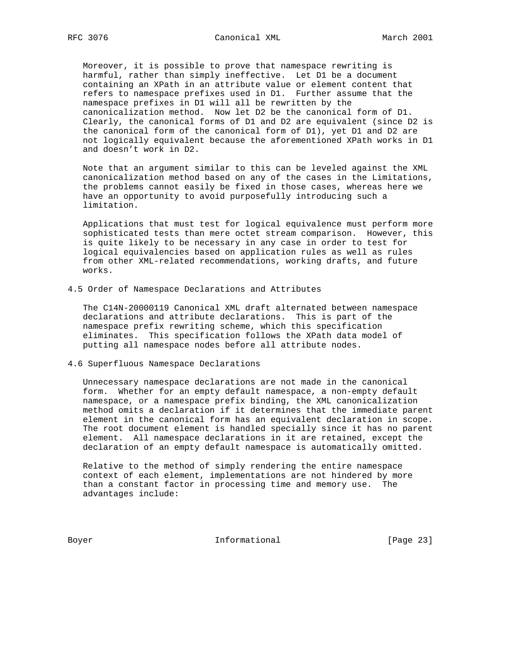Moreover, it is possible to prove that namespace rewriting is harmful, rather than simply ineffective. Let D1 be a document containing an XPath in an attribute value or element content that refers to namespace prefixes used in D1. Further assume that the namespace prefixes in D1 will all be rewritten by the canonicalization method. Now let D2 be the canonical form of D1. Clearly, the canonical forms of D1 and D2 are equivalent (since D2 is the canonical form of the canonical form of D1), yet D1 and D2 are not logically equivalent because the aforementioned XPath works in D1 and doesn't work in D2.

 Note that an argument similar to this can be leveled against the XML canonicalization method based on any of the cases in the Limitations, the problems cannot easily be fixed in those cases, whereas here we have an opportunity to avoid purposefully introducing such a limitation.

 Applications that must test for logical equivalence must perform more sophisticated tests than mere octet stream comparison. However, this is quite likely to be necessary in any case in order to test for logical equivalencies based on application rules as well as rules from other XML-related recommendations, working drafts, and future works.

#### 4.5 Order of Namespace Declarations and Attributes

 The C14N-20000119 Canonical XML draft alternated between namespace declarations and attribute declarations. This is part of the namespace prefix rewriting scheme, which this specification eliminates. This specification follows the XPath data model of putting all namespace nodes before all attribute nodes.

4.6 Superfluous Namespace Declarations

 Unnecessary namespace declarations are not made in the canonical form. Whether for an empty default namespace, a non-empty default namespace, or a namespace prefix binding, the XML canonicalization method omits a declaration if it determines that the immediate parent element in the canonical form has an equivalent declaration in scope. The root document element is handled specially since it has no parent element. All namespace declarations in it are retained, except the declaration of an empty default namespace is automatically omitted.

 Relative to the method of simply rendering the entire namespace context of each element, implementations are not hindered by more than a constant factor in processing time and memory use. The advantages include:

Boyer 10 1nformational 100 Page 23]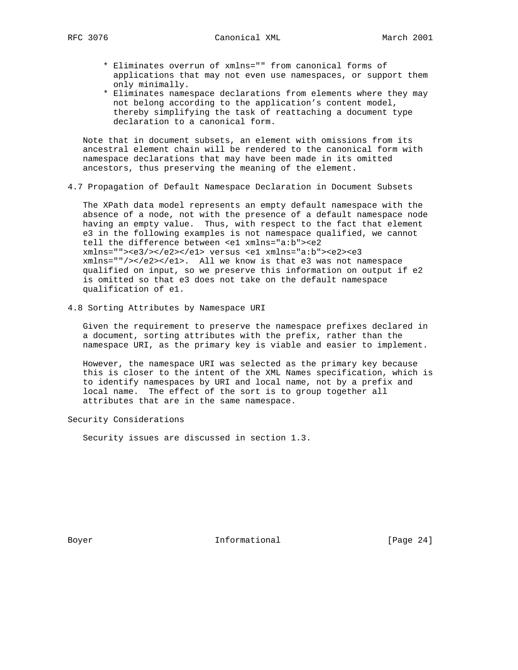- \* Eliminates overrun of xmlns="" from canonical forms of applications that may not even use namespaces, or support them only minimally.
- \* Eliminates namespace declarations from elements where they may not belong according to the application's content model, thereby simplifying the task of reattaching a document type declaration to a canonical form.

 Note that in document subsets, an element with omissions from its ancestral element chain will be rendered to the canonical form with namespace declarations that may have been made in its omitted ancestors, thus preserving the meaning of the element.

4.7 Propagation of Default Namespace Declaration in Document Subsets

 The XPath data model represents an empty default namespace with the absence of a node, not with the presence of a default namespace node having an empty value. Thus, with respect to the fact that element e3 in the following examples is not namespace qualified, we cannot tell the difference between <e1 xmlns="a:b"><e2 xmlns=""><e3/></e2></e1> versus <e1 xmlns="a:b"><e2><e3 xmlns=""/></e2></e1>. All we know is that e3 was not namespace qualified on input, so we preserve this information on output if e2 is omitted so that e3 does not take on the default namespace qualification of e1.

4.8 Sorting Attributes by Namespace URI

 Given the requirement to preserve the namespace prefixes declared in a document, sorting attributes with the prefix, rather than the namespace URI, as the primary key is viable and easier to implement.

 However, the namespace URI was selected as the primary key because this is closer to the intent of the XML Names specification, which is to identify namespaces by URI and local name, not by a prefix and local name. The effect of the sort is to group together all attributes that are in the same namespace.

Security Considerations

Security issues are discussed in section 1.3.

Boyer **Informational** [Page 24]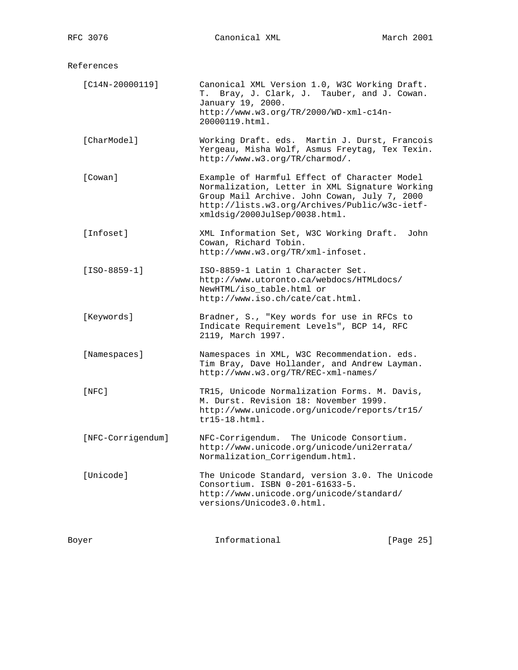References

| $[C14N-20000119]$ | Canonical XML Version 1.0, W3C Working Draft.<br>Bray, J. Clark, J. Tauber, and J. Cowan.<br>Т.<br>January 19, 2000.<br>http://www.w3.org/TR/2000/WD-xml-cl4n-<br>20000119.html.                                                 |
|-------------------|----------------------------------------------------------------------------------------------------------------------------------------------------------------------------------------------------------------------------------|
| [CharModel]       | Working Draft. eds. Martin J. Durst, Francois<br>Yergeau, Misha Wolf, Asmus Freytag, Tex Texin.<br>http://www.w3.org/TR/charmod/.                                                                                                |
| [Cowan]           | Example of Harmful Effect of Character Model<br>Normalization, Letter in XML Signature Working<br>Group Mail Archive. John Cowan, July 7, 2000<br>http://lists.w3.org/Archives/Public/w3c-ietf-<br>xmldsig/2000JulSep/0038.html. |
| [Infoset]         | XML Information Set, W3C Working Draft.<br>John<br>Cowan, Richard Tobin.<br>http://www.w3.org/TR/xml-infoset.                                                                                                                    |
| $[ISO-8859-1]$    | ISO-8859-1 Latin 1 Character Set.<br>http://www.utoronto.ca/webdocs/HTMLdocs/<br>NewHTML/iso table.html or<br>http://www.iso.ch/cate/cat.html.                                                                                   |
| [Keywords]        | Bradner, S., "Key words for use in RFCs to<br>Indicate Requirement Levels", BCP 14, RFC<br>2119, March 1997.                                                                                                                     |
| [Namespaces]      | Namespaces in XML, W3C Recommendation. eds.<br>Tim Bray, Dave Hollander, and Andrew Layman.<br>http://www.w3.org/TR/REC-xml-names/                                                                                               |
| $[$ NFC $]$       | TR15, Unicode Normalization Forms. M. Davis,<br>M. Durst. Revision 18: November 1999.<br>http://www.unicode.org/unicode/reports/tr15/<br>$tr15-18.html.$                                                                         |
| [NFC-Corrigendum] | NFC-Corrigendum. The Unicode Consortium.<br>http://www.unicode.org/unicode/uni2errata/<br>Normalization_Corrigendum.html.                                                                                                        |
| [Unicode]         | The Unicode Standard, version 3.0. The Unicode<br>Consortium. ISBN 0-201-61633-5.<br>http://www.unicode.org/unicode/standard/<br>versions/Unicode3.0.html.                                                                       |

Boyer **Informational Informational** [Page 25]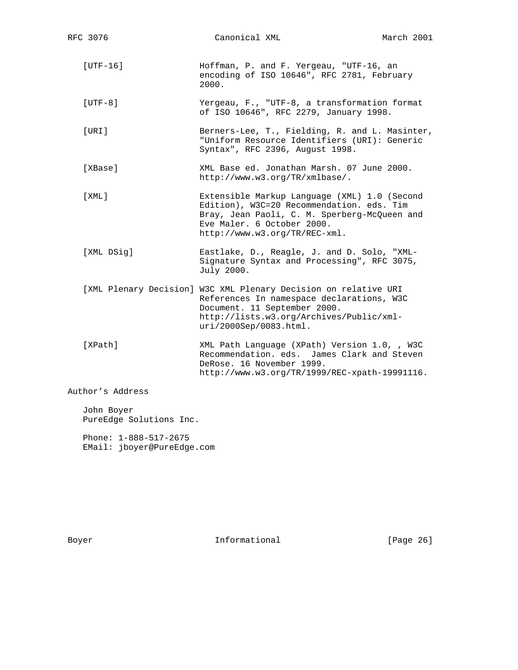[UTF-16] Hoffman, P. and F. Yergeau, "UTF-16, an encoding of ISO 10646", RFC 2781, February 2000. [UTF-8] Yergeau, F., "UTF-8, a transformation format of ISO 10646", RFC 2279, January 1998. [URI] Berners-Lee, T., Fielding, R. and L. Masinter, "Uniform Resource Identifiers (URI): Generic Syntax", RFC 2396, August 1998. [XBase] XML Base ed. Jonathan Marsh. 07 June 2000. http://www.w3.org/TR/xmlbase/. [XML] Extensible Markup Language (XML) 1.0 (Second Edition), W3C=20 Recommendation. eds. Tim Bray, Jean Paoli, C. M. Sperberg-McQueen and Eve Maler. 6 October 2000. http://www.w3.org/TR/REC-xml. [XML DSig] Eastlake, D., Reagle, J. and D. Solo, "XML- Signature Syntax and Processing", RFC 3075, July 2000. [XML Plenary Decision] W3C XML Plenary Decision on relative URI References In namespace declarations, W3C Document. 11 September 2000. http://lists.w3.org/Archives/Public/xml uri/2000Sep/0083.html. [XPath] XML Path Language (XPath) Version 1.0, , W3C Recommendation. eds. James Clark and Steven DeRose. 16 November 1999. http://www.w3.org/TR/1999/REC-xpath-19991116.

Author's Address

 John Boyer PureEdge Solutions Inc.

 Phone: 1-888-517-2675 EMail: jboyer@PureEdge.com

Boyer **Informational** [Page 26]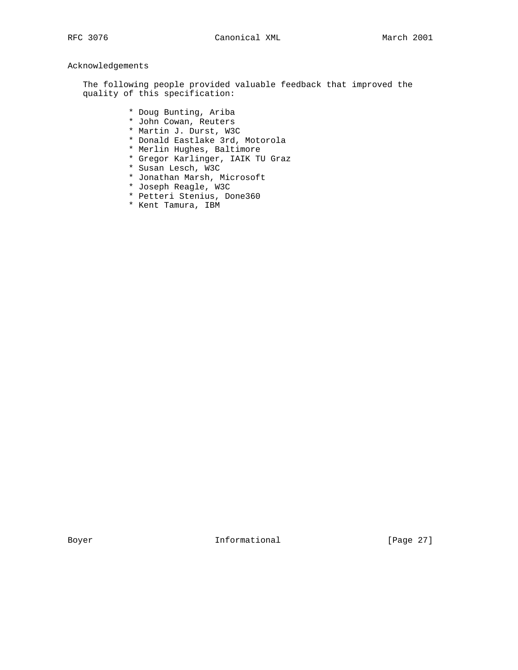# Acknowledgements

 The following people provided valuable feedback that improved the quality of this specification:

- \* Doug Bunting, Ariba
- \* John Cowan, Reuters
- \* Martin J. Durst, W3C
- \* Donald Eastlake 3rd, Motorola
- \* Merlin Hughes, Baltimore
- \* Gregor Karlinger, IAIK TU Graz
- \* Susan Lesch, W3C
- \* Jonathan Marsh, Microsoft
- \* Joseph Reagle, W3C
- \* Petteri Stenius, Done360
- \* Kent Tamura, IBM

Boyer **Informational** [Page 27]